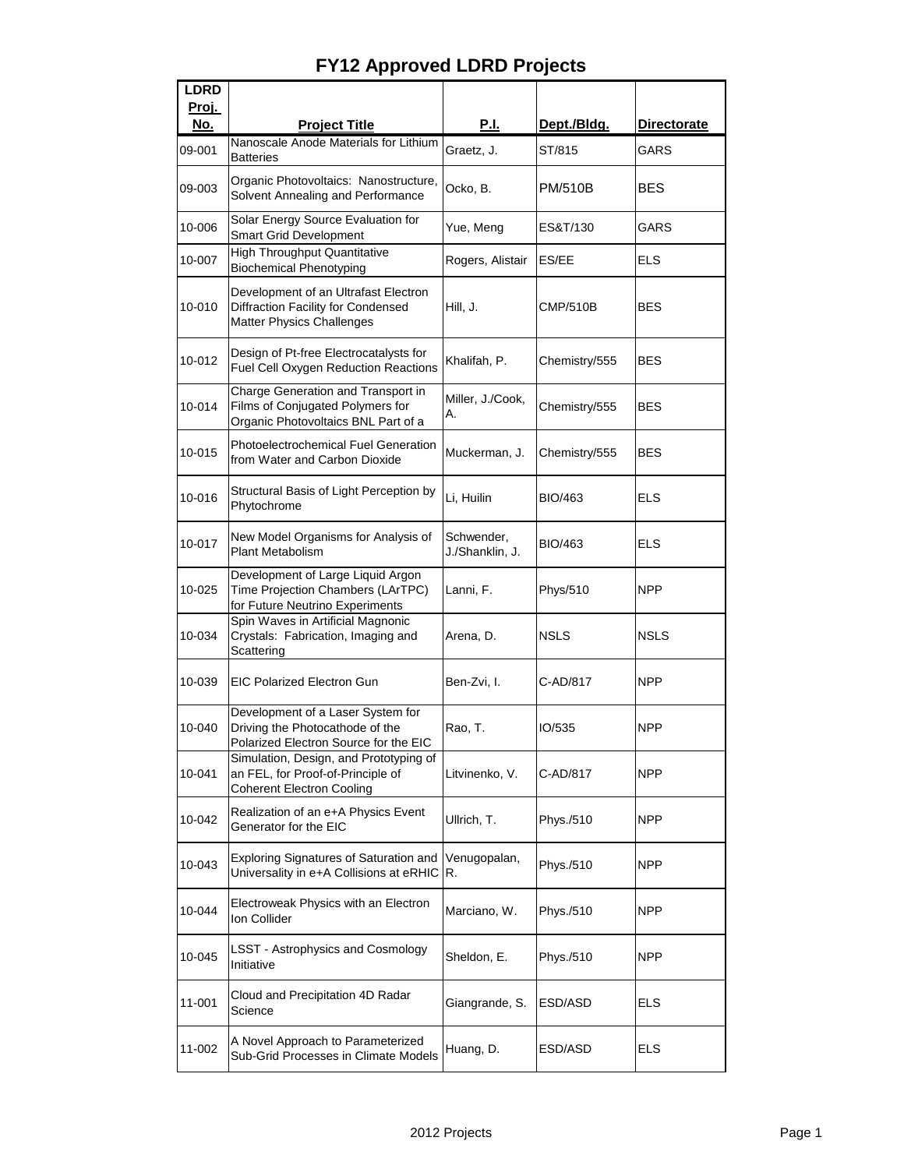| <b>LDRD</b> |                                                                                                                 |                               |                 |                    |
|-------------|-----------------------------------------------------------------------------------------------------------------|-------------------------------|-----------------|--------------------|
| Proj.       |                                                                                                                 |                               |                 |                    |
| No.         | <b>Project Title</b>                                                                                            | <u>P.I.</u>                   | Dept./Bldg.     | <b>Directorate</b> |
| 09-001      | Nanoscale Anode Materials for Lithium<br><b>Batteries</b>                                                       | Graetz, J.                    | ST/815          | <b>GARS</b>        |
| 09-003      | Organic Photovoltaics: Nanostructure,<br>Solvent Annealing and Performance                                      | Ocko, B.                      | <b>PM/510B</b>  | <b>BES</b>         |
| 10-006      | Solar Energy Source Evaluation for<br><b>Smart Grid Development</b>                                             | Yue, Meng                     | ES&T/130        | <b>GARS</b>        |
| 10-007      | <b>High Throughput Quantitative</b><br><b>Biochemical Phenotyping</b>                                           | Rogers, Alistair              | ES/EE           | <b>ELS</b>         |
| 10-010      | Development of an Ultrafast Electron<br>Diffraction Facility for Condensed<br><b>Matter Physics Challenges</b>  | Hill, J.                      | <b>CMP/510B</b> | BES                |
| 10-012      | Design of Pt-free Electrocatalysts for<br><b>Fuel Cell Oxygen Reduction Reactions</b>                           | Khalifah, P.                  | Chemistry/555   | <b>BES</b>         |
| 10-014      | Charge Generation and Transport in<br>Films of Conjugated Polymers for<br>Organic Photovoltaics BNL Part of a   | Miller, J./Cook,<br>А.        | Chemistry/555   | BES                |
| 10-015      | Photoelectrochemical Fuel Generation<br>from Water and Carbon Dioxide                                           | Muckerman, J.                 | Chemistry/555   | <b>BES</b>         |
| 10-016      | Structural Basis of Light Perception by<br>Phytochrome                                                          | Li, Huilin                    | BIO/463         | <b>ELS</b>         |
| 10-017      | New Model Organisms for Analysis of<br>Plant Metabolism                                                         | Schwender,<br>J./Shanklin, J. | <b>BIO/463</b>  | <b>ELS</b>         |
| 10-025      | Development of Large Liquid Argon<br>Time Projection Chambers (LArTPC)<br>for Future Neutrino Experiments       | Lanni, F.                     | Phys/510        | <b>NPP</b>         |
| 10-034      | Spin Waves in Artificial Magnonic<br>Crystals: Fabrication, Imaging and<br>Scattering                           | Arena, D.                     | <b>NSLS</b>     | <b>NSLS</b>        |
| 10-039      | EIC Polarized Electron Gun                                                                                      | Ben-Zvi, I.                   | C-AD/817        | <b>NPP</b>         |
| 10-040      | Development of a Laser System for<br>Driving the Photocathode of the<br>Polarized Electron Source for the EIC   | Rao, T.                       | IO/535          | <b>NPP</b>         |
| 10-041      | Simulation, Design, and Prototyping of<br>an FEL, for Proof-of-Principle of<br><b>Coherent Electron Cooling</b> | Litvinenko, V.                | C-AD/817        | <b>NPP</b>         |
| 10-042      | Realization of an e+A Physics Event<br>Generator for the EIC                                                    | Ullrich, T.                   | Phys./510       | NPP.               |
| 10-043      | <b>Exploring Signatures of Saturation and</b><br>Universality in e+A Collisions at eRHIC                        | Venugopalan,<br>R.            | Phys./510       | <b>NPP</b>         |
| 10-044      | Electroweak Physics with an Electron<br>Ion Collider                                                            | Marciano, W.                  | Phys./510       | <b>NPP</b>         |
| 10-045      | <b>LSST - Astrophysics and Cosmology</b><br>Initiative                                                          | Sheldon, E.                   | Phys./510       | <b>NPP</b>         |
| 11-001      | Cloud and Precipitation 4D Radar<br>Science                                                                     | Giangrande, S.                | ESD/ASD         | <b>ELS</b>         |
| 11-002      | A Novel Approach to Parameterized<br>Sub-Grid Processes in Climate Models                                       | Huang, D.                     | ESD/ASD         | <b>ELS</b>         |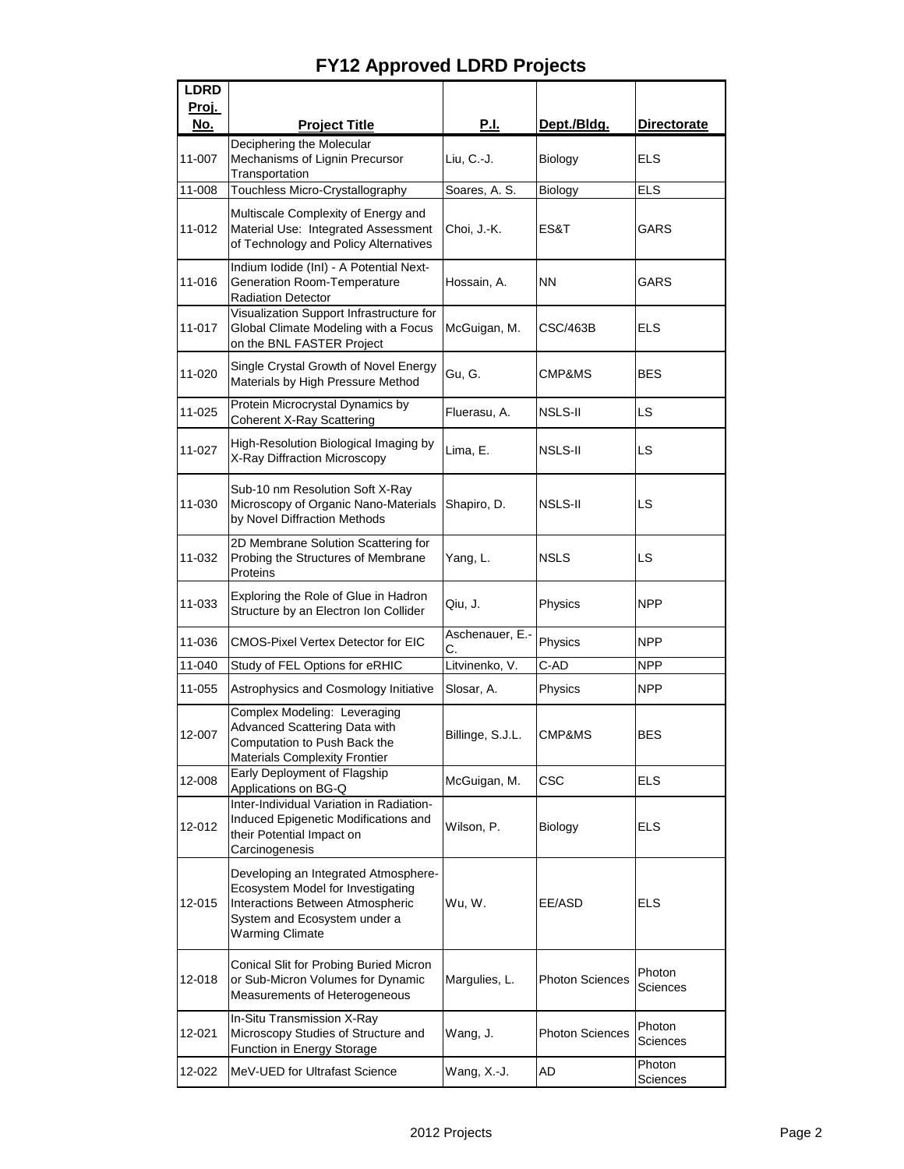| <b>FY12 Approved LDRD Projects</b> |  |
|------------------------------------|--|
|------------------------------------|--|

| <b>LDRD</b> |                                                                                                                                                                         |                       |                        |                    |
|-------------|-------------------------------------------------------------------------------------------------------------------------------------------------------------------------|-----------------------|------------------------|--------------------|
| Proj.       |                                                                                                                                                                         |                       |                        |                    |
| <u>No.</u>  | <b>Project Title</b>                                                                                                                                                    | <u>P.I.</u>           | Dept./Bldg.            | <b>Directorate</b> |
| 11-007      | Deciphering the Molecular<br>Mechanisms of Lignin Precursor<br>Transportation                                                                                           | Liu, C.-J.            | Biology                | <b>ELS</b>         |
| 11-008      | Touchless Micro-Crystallography                                                                                                                                         | Soares, A. S.         | Biology                | <b>ELS</b>         |
| 11-012      | Multiscale Complexity of Energy and<br>Material Use: Integrated Assessment<br>of Technology and Policy Alternatives                                                     | Choi, J.-K.           | ES&T                   | GARS               |
| 11-016      | Indium Iodide (InI) - A Potential Next-<br><b>Generation Room-Temperature</b><br><b>Radiation Detector</b>                                                              | Hossain, A.           | <b>NN</b>              | <b>GARS</b>        |
| $11 - 017$  | Visualization Support Infrastructure for<br>Global Climate Modeling with a Focus<br>on the BNL FASTER Project                                                           | McGuigan, M.          | CSC/463B               | <b>ELS</b>         |
| 11-020      | Single Crystal Growth of Novel Energy<br>Materials by High Pressure Method                                                                                              | Gu, G.                | CMP&MS                 | BES                |
| 11-025      | Protein Microcrystal Dynamics by<br><b>Coherent X-Ray Scattering</b>                                                                                                    | Fluerasu, A.          | <b>NSLS-II</b>         | LS                 |
| 11-027      | High-Resolution Biological Imaging by<br>X-Ray Diffraction Microscopy                                                                                                   | Lima, E.              | <b>NSLS-II</b>         | LS.                |
| 11-030      | Sub-10 nm Resolution Soft X-Ray<br>Microscopy of Organic Nano-Materials<br>by Novel Diffraction Methods                                                                 | Shapiro, D.           | <b>NSLS-II</b>         | LS                 |
| 11-032      | 2D Membrane Solution Scattering for<br>Probing the Structures of Membrane<br>Proteins                                                                                   | Yang, L.              | <b>NSLS</b>            | LS                 |
| 11-033      | Exploring the Role of Glue in Hadron<br>Structure by an Electron Ion Collider                                                                                           | Qiu, J.               | Physics                | <b>NPP</b>         |
| 11-036      | <b>CMOS-Pixel Vertex Detector for EIC</b>                                                                                                                               | Aschenauer, E.-<br>C. | Physics                | <b>NPP</b>         |
| 11-040      | Study of FEL Options for eRHIC                                                                                                                                          | Litvinenko, V.        | C-AD                   | <b>NPP</b>         |
| 11-055      | Astrophysics and Cosmology Initiative                                                                                                                                   | Slosar, A.            | Physics                | <b>NPP</b>         |
| 12-007      | Complex Modeling: Leveraging<br>Advanced Scattering Data with<br>Computation to Push Back the<br><b>Materials Complexity Frontier</b>                                   | Billinge, S.J.L.      | CMP&MS                 | <b>BES</b>         |
| 12-008      | Early Deployment of Flagship<br>Applications on BG-Q                                                                                                                    | McGuigan, M.          | <b>CSC</b>             | <b>ELS</b>         |
| 12-012      | Inter-Individual Variation in Radiation-<br>Induced Epigenetic Modifications and<br>their Potential Impact on<br>Carcinogenesis                                         | Wilson, P.            | Biology                | <b>ELS</b>         |
| 12-015      | Developing an Integrated Atmosphere-<br>Ecosystem Model for Investigating<br>Interactions Between Atmospheric<br>System and Ecosystem under a<br><b>Warming Climate</b> | Wu, W.                | EE/ASD                 | <b>ELS</b>         |
| 12-018      | Conical Slit for Probing Buried Micron<br>or Sub-Micron Volumes for Dynamic<br>Measurements of Heterogeneous                                                            | Margulies, L.         | <b>Photon Sciences</b> | Photon<br>Sciences |
| 12-021      | In-Situ Transmission X-Ray<br>Microscopy Studies of Structure and<br>Function in Energy Storage                                                                         | Wang, J.              | <b>Photon Sciences</b> | Photon<br>Sciences |
| 12-022      | MeV-UED for Ultrafast Science                                                                                                                                           | Wang, X.-J.           | AD                     | Photon<br>Sciences |